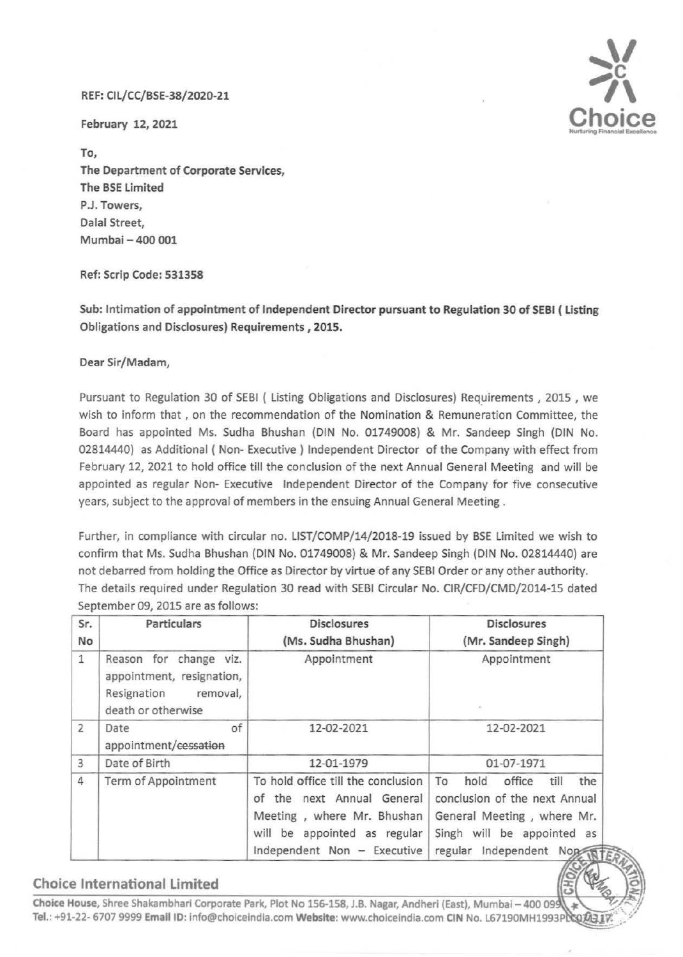## REF: Cll/CC/BSE-38/2020-21

February 12, 2021

To, The Department of Corporate Services, The BSE limited P.J. Towers, Dalal Street, Mumbai- 400 001

Ref: Scrip Code: 531358

Sub: Intimation of appointment of Independent Director pursuant to Regulation 30 of SEBI ( listing Obligations and Disclosures) Requirements , 2015.

Dear Sir/Madam,

Pursuant to Regulation 30 of SEBI ( Listing Obligations and Disclosures) Requirements , 2015 , we wish to inform that , on the recommendation of the Nomination & Remuneration Committee, the Board has appointed Ms. Sudha Shushan (DIN No. 01749008) & Mr. Sandeep Singh (DIN No. 02814440) as Additional ( Non- Executive ) Independent Director of the Company with effect from February 12, 2021 to hold office till the conclusion of the next Annual General Meeting and will be appointed as regular Non- Executive Independent Director of the Company for five consecutive years, subject to the approval of members in the ensuing Annual General Meeting .

Further, in compliance with circular no. LIST/COMP/14/2018-19 issued by BSE Limited we wish to confirm that Ms. Sudha Shushan (DIN No. 01749008) & Mr. Sandeep Singh (DIN No. 02814440) are not debarred from holding the Office as Director by virtue of any SEBI Order or any other authority. The details required under Regulation 30 read with SEBI Circular No. CIR/CFD/CMD/2014-15 dated September 09, 2015 are as follows:

| Sr.<br>No      | <b>Particulars</b>                                                                                   | <b>Disclosures</b><br>(Ms. Sudha Bhushan)                                                                                                                     | <b>Disclosures</b><br>(Mr. Sandeep Singh)                                                                                                                           |
|----------------|------------------------------------------------------------------------------------------------------|---------------------------------------------------------------------------------------------------------------------------------------------------------------|---------------------------------------------------------------------------------------------------------------------------------------------------------------------|
| $\mathbf{1}$   | Reason for change viz.<br>appointment, resignation,<br>Resignation<br>removal,<br>death or otherwise | Appointment                                                                                                                                                   | Appointment<br>×                                                                                                                                                    |
| $\overline{2}$ | of<br>Date<br>appointment/cessation                                                                  | 12-02-2021                                                                                                                                                    | 12-02-2021                                                                                                                                                          |
| 3              | Date of Birth                                                                                        | 12-01-1979                                                                                                                                                    | 01-07-1971                                                                                                                                                          |
| 4              | Term of Appointment                                                                                  | To hold office till the conclusion<br>of the next Annual General<br>Meeting, where Mr. Bhushan<br>will be appointed as regular<br>Independent Non - Executive | To<br>office<br>till<br>the<br>hold<br>conclusion of the next Annual<br>General Meeting, where Mr.<br>Singh will be appointed as<br>regular<br>Independent Not WIER |

## Choice International Limited

Choice House, Shree Shakambhari Corporate Park, Plot No 156-158, J.B. Nagar, Andheri (East), Mumbai - 400 099 Tel.: +91-22- 6707 9999 Email ID: info@choiceindia.com Website: www.choiceindia.com CIN No. L67190MH1993P

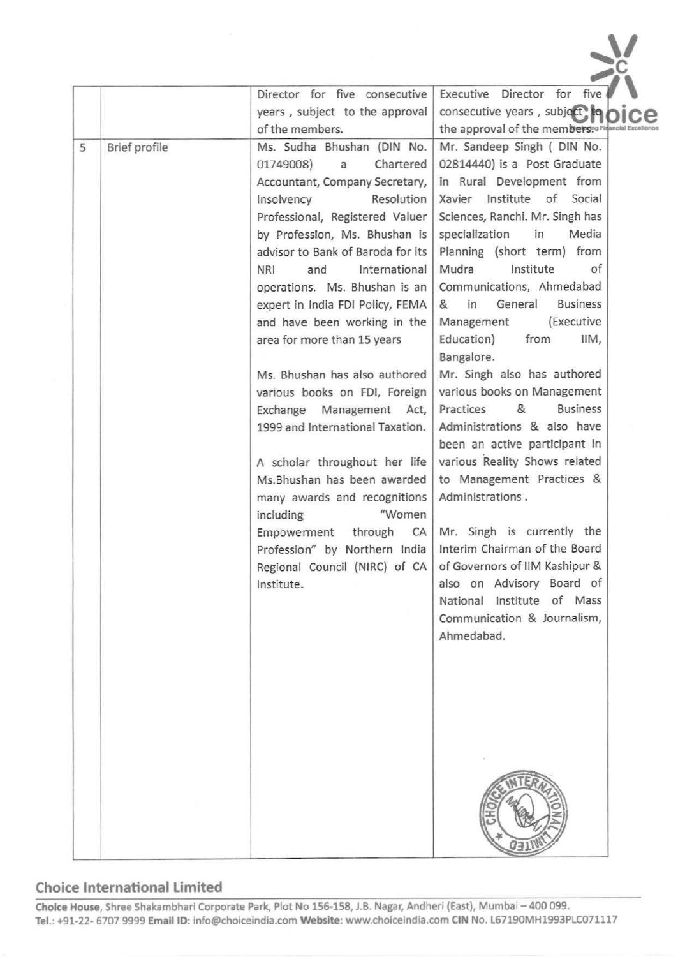|   |               | Director for five consecutive     | Executive Director for five                      |
|---|---------------|-----------------------------------|--------------------------------------------------|
|   |               | years, subject to the approval    | consecutive years, subject to                    |
|   |               | of the members.                   | the approval of the members, Pirancial Excellenc |
| 5 | Brief profile | Ms. Sudha Bhushan (DIN No.        | Mr. Sandeep Singh ( DIN No.                      |
|   |               | Chartered<br>01749008)<br>a       | 02814440) is a Post Graduate                     |
|   |               | Accountant, Company Secretary,    | in Rural Development from                        |
|   |               | Resolution<br>Insolvency          | Xavier Institute of Social                       |
|   |               | Professional, Registered Valuer   | Sciences, Ranchi. Mr. Singh has                  |
|   |               | by Profession, Ms. Bhushan is     | specialization<br>in<br>Media                    |
|   |               | advisor to Bank of Baroda for its | Planning (short term) from                       |
|   |               | International<br>NRI<br>and       | Mudra<br>Institute<br>of                         |
|   |               | operations. Ms. Bhushan is an     | Communications, Ahmedabad                        |
|   |               | expert in India FDI Policy, FEMA  | <b>Business</b><br>General<br>&<br>in            |
|   |               | and have been working in the      | (Executive<br>Management                         |
|   |               | area for more than 15 years       | Education)<br>from<br>IIM,                       |
|   |               |                                   | Bangalore.                                       |
|   |               | Ms. Bhushan has also authored     | Mr. Singh also has authored                      |
|   |               | various books on FDI, Foreign     | various books on Management                      |
|   |               | Exchange Management Act,          | &<br><b>Business</b><br>Practices                |
|   |               | 1999 and International Taxation.  | Administrations & also have                      |
|   |               |                                   | been an active participant in                    |
|   |               | A scholar throughout her life     | various Reality Shows related                    |
|   |               | Ms. Bhushan has been awarded      | to Management Practices &                        |
|   |               | many awards and recognitions      | Administrations.                                 |
|   |               | "Women<br>including               |                                                  |
|   |               | Empowerment<br>through<br>CA      | Mr. Singh is currently the                       |
|   |               | Profession" by Northern India     | Interim Chairman of the Board                    |
|   |               | Regional Council (NIRC) of CA     | of Governors of IIM Kashipur &                   |
|   |               | Institute.                        | also on Advisory Board of                        |
|   |               |                                   | National Institute of Mass                       |
|   |               |                                   | Communication & Journalism,                      |
|   |               |                                   | Ahmedabad.                                       |
|   |               |                                   |                                                  |
|   |               |                                   |                                                  |
|   |               |                                   |                                                  |
|   |               |                                   |                                                  |
|   |               |                                   |                                                  |
|   |               |                                   |                                                  |
|   |               |                                   |                                                  |
|   |               |                                   |                                                  |
|   |               |                                   |                                                  |
|   |               |                                   |                                                  |
|   |               |                                   |                                                  |
|   |               |                                   |                                                  |
|   |               |                                   |                                                  |

 $\gamma$ 

## **Choice International Limited**

Choice House, Shree Shakambhari Corporate Park, Plot No 156-158, J.B. Nagar, Andherl (East), Mumbai- 400 099. Tel.: +91-22- 6707 9999 Email ID: info@choiceindia.com Website: www.choiceindia.com CIN No. L67190MH1993PLC071117